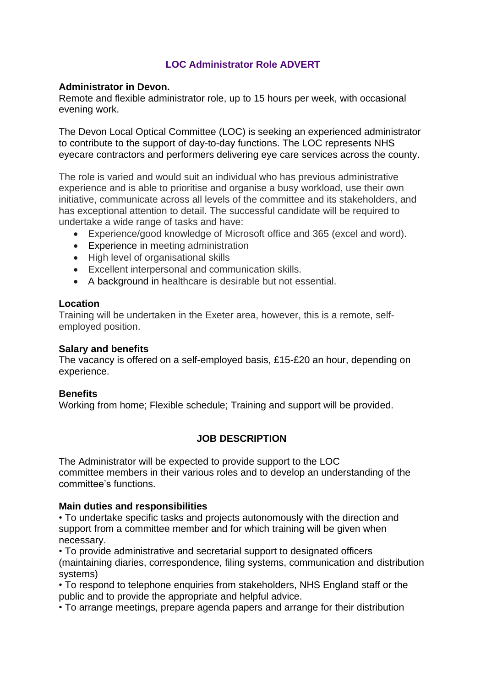# **LOC Administrator Role ADVERT**

#### **Administrator in Devon.**

Remote and flexible administrator role, up to 15 hours per week, with occasional evening work.

The Devon Local Optical Committee (LOC) is seeking an experienced administrator to contribute to the support of day-to-day functions. The LOC represents NHS eyecare contractors and performers delivering eye care services across the county.

The role is varied and would suit an individual who has previous administrative experience and is able to prioritise and organise a busy workload, use their own initiative, communicate across all levels of the committee and its stakeholders, and has exceptional attention to detail. The successful candidate will be required to undertake a wide range of tasks and have:

- Experience/good knowledge of Microsoft office and 365 (excel and word).
- Experience in meeting administration
- High level of organisational skills
- Excellent interpersonal and communication skills.
- A background in healthcare is desirable but not essential.

#### **Location**

Training will be undertaken in the Exeter area, however, this is a remote, selfemployed position.

### **Salary and benefits**

The vacancy is offered on a self-employed basis, £15-£20 an hour, depending on experience.

### **Benefits**

Working from home; Flexible schedule; Training and support will be provided.

# **JOB DESCRIPTION**

The Administrator will be expected to provide support to the LOC committee members in their various roles and to develop an understanding of the committee's functions.

### **Main duties and responsibilities**

• To undertake specific tasks and projects autonomously with the direction and support from a committee member and for which training will be given when necessary.

• To provide administrative and secretarial support to designated officers (maintaining diaries, correspondence, filing systems, communication and distribution systems)

• To respond to telephone enquiries from stakeholders, NHS England staff or the public and to provide the appropriate and helpful advice.

• To arrange meetings, prepare agenda papers and arrange for their distribution